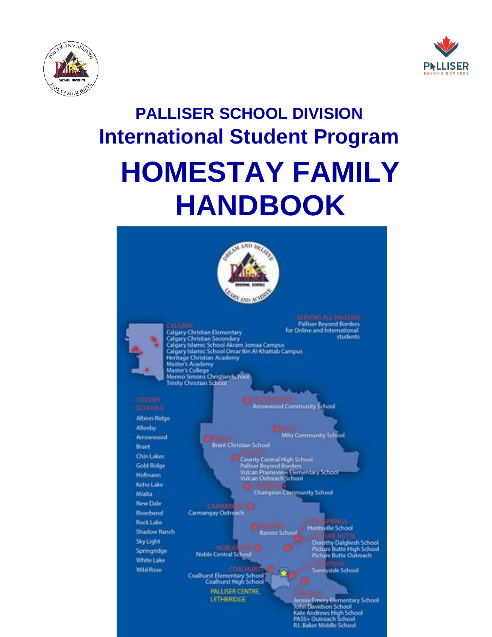



# **PALLISER SCHOOL DIVISION International Student Program HOMESTAY FAMILY HANDBOOK**

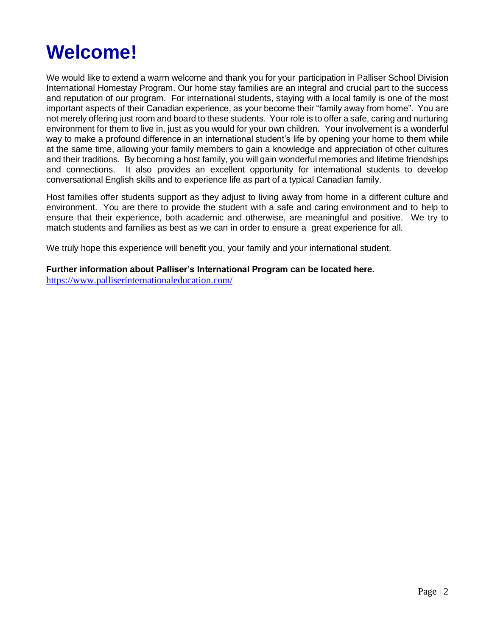# **Welcome!**

We would like to extend a warm welcome and thank you for your participation in Palliser School Division International Homestay Program. Our home stay families are an integral and crucial part to the success and reputation of our program. For international students, staying with a local family is one of the most important aspects of their Canadian experience, as your become their "family away from home". You are not merely offering just room and board to these students. Your role is to offer a safe, caring and nurturing environment for them to live in, just as you would for your own children. Your involvement is a wonderful way to make a profound difference in an international student's life by opening your home to them while at the same time, allowing your family members to gain a knowledge and appreciation of other cultures and their traditions. By becoming a host family, you will gain wonderful memories and lifetime friendships and connections. It also provides an excellent opportunity for international students to develop conversational English skills and to experience life as part of a typical Canadian family.

Host families offer students support as they adjust to living away from home in a different culture and environment. You are there to provide the student with a safe and caring environment and to help to ensure that their experience, both academic and otherwise, are meaningful and positive. We try to match students and families as best as we can in order to ensure a great experience for all.

We truly hope this experience will benefit you, your family and your international student.

#### **Further information about Palliser's International Program can be located here.**

<https://www.palliserinternationaleducation.com/>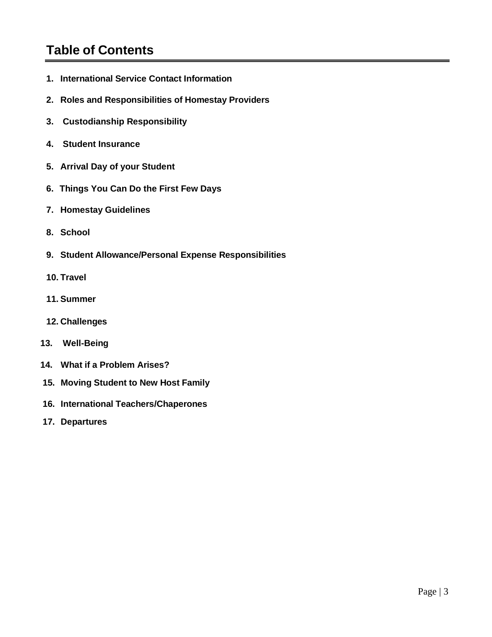## **Table of Contents**

- **1. International Service Contact Information**
- **2. Roles and Responsibilities of Homestay Providers**
- **3. Custodianship Responsibility**
- **4. Student Insurance**
- **5. Arrival Day of your Student**
- **6. Things You Can Do the First Few Days**
- **7. Homestay Guidelines**
- **8. School**
- **9. Student Allowance/Personal Expense Responsibilities**
- **10. Travel**
- **11. Summer**
- **12. Challenges**
- **13. Well-Being**
- **14. What if a Problem Arises?**
- **15. Moving Student to New Host Family**
- **16. International Teachers/Chaperones**
- **17. Departures**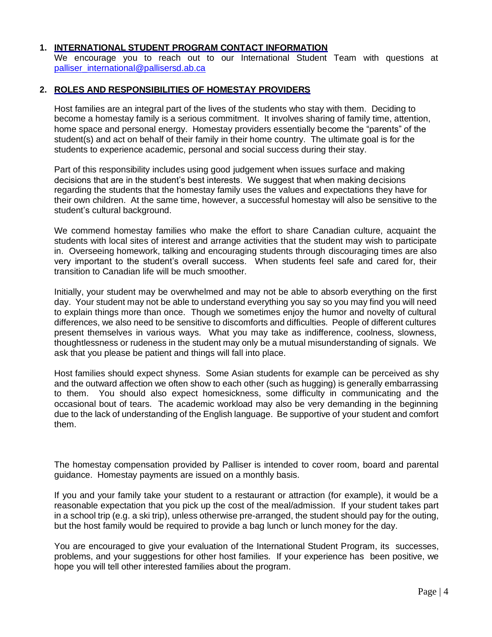#### **1. INTERNATIONAL STUDENT PROGRAM CONTACT INFORMATION**

We encourage you to reach out to our International Student Team with questions at [palliser\\_international@pallisersd.ab.ca](mailto:palliser_international@pallisersd.ab.ca)

#### **2. ROLES AND RESPONSIBILITIES OF HOMESTAY PROVIDERS**

Host families are an integral part of the lives of the students who stay with them. Deciding to become a homestay family is a serious commitment. It involves sharing of family time, attention, home space and personal energy. Homestay providers essentially become the "parents" of the student(s) and act on behalf of their family in their home country. The ultimate goal is for the students to experience academic, personal and social success during their stay.

Part of this responsibility includes using good judgement when issues surface and making decisions that are in the student's best interests. We suggest that when making decisions regarding the students that the homestay family uses the values and expectations they have for their own children. At the same time, however, a successful homestay will also be sensitive to the student's cultural background.

We commend homestay families who make the effort to share Canadian culture, acquaint the students with local sites of interest and arrange activities that the student may wish to participate in. Overseeing homework, talking and encouraging students through discouraging times are also very important to the student's overall success. When students feel safe and cared for, their transition to Canadian life will be much smoother.

Initially, your student may be overwhelmed and may not be able to absorb everything on the first day. Your student may not be able to understand everything you say so you may find you will need to explain things more than once. Though we sometimes enjoy the humor and novelty of cultural differences, we also need to be sensitive to discomforts and difficulties. People of different cultures present themselves in various ways. What you may take as indifference, coolness, slowness, thoughtlessness or rudeness in the student may only be a mutual misunderstanding of signals. We ask that you please be patient and things will fall into place.

Host families should expect shyness. Some Asian students for example can be perceived as shy and the outward affection we often show to each other (such as hugging) is generally embarrassing to them. You should also expect homesickness, some difficulty in communicating and the occasional bout of tears. The academic workload may also be very demanding in the beginning due to the lack of understanding of the English language. Be supportive of your student and comfort them.

The homestay compensation provided by Palliser is intended to cover room, board and parental guidance. Homestay payments are issued on a monthly basis.

If you and your family take your student to a restaurant or attraction (for example), it would be a reasonable expectation that you pick up the cost of the meal/admission. If your student takes part in a school trip (e.g. a ski trip), unless otherwise pre-arranged, the student should pay for the outing, but the host family would be required to provide a bag lunch or lunch money for the day.

You are encouraged to give your evaluation of the International Student Program, its successes, problems, and your suggestions for other host families. If your experience has been positive, we hope you will tell other interested families about the program.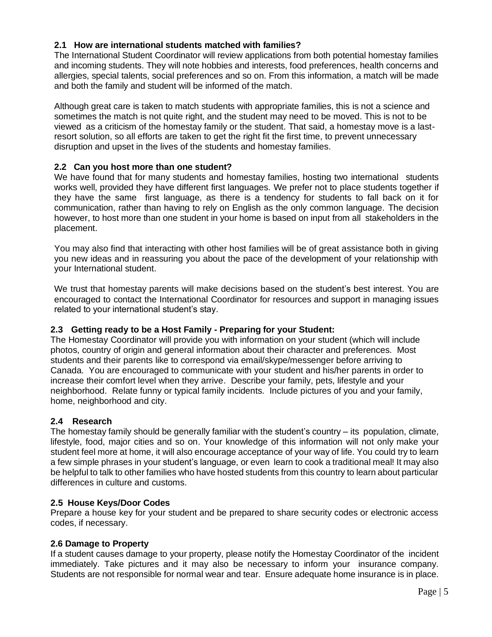#### **2.1 How are international students matched with families?**

The International Student Coordinator will review applications from both potential homestay families and incoming students. They will note hobbies and interests, food preferences, health concerns and allergies, special talents, social preferences and so on. From this information, a match will be made and both the family and student will be informed of the match.

Although great care is taken to match students with appropriate families, this is not a science and sometimes the match is not quite right, and the student may need to be moved. This is not to be viewed as a criticism of the homestay family or the student. That said, a homestay move is a lastresort solution, so all efforts are taken to get the right fit the first time, to prevent unnecessary disruption and upset in the lives of the students and homestay families.

#### **2.2 Can you host more than one student?**

We have found that for many students and homestay families, hosting two international students works well, provided they have different first languages. We prefer not to place students together if they have the same first language, as there is a tendency for students to fall back on it for communication, rather than having to rely on English as the only common language. The decision however, to host more than one student in your home is based on input from all stakeholders in the placement.

You may also find that interacting with other host families will be of great assistance both in giving you new ideas and in reassuring you about the pace of the development of your relationship with your International student.

We trust that homestay parents will make decisions based on the student's best interest. You are encouraged to contact the International Coordinator for resources and support in managing issues related to your international student's stay.

#### **2.3 Getting ready to be a Host Family - Preparing for your Student:**

The Homestay Coordinator will provide you with information on your student (which will include photos, country of origin and general information about their character and preferences. Most students and their parents like to correspond via email/skype/messenger before arriving to Canada. You are encouraged to communicate with your student and his/her parents in order to increase their comfort level when they arrive. Describe your family, pets, lifestyle and your neighborhood. Relate funny or typical family incidents. Include pictures of you and your family, home, neighborhood and city.

#### **2.4 Research**

The homestay family should be generally familiar with the student's country – its population, climate, lifestyle, food, major cities and so on. Your knowledge of this information will not only make your student feel more at home, it will also encourage acceptance of your way of life. You could try to learn a few simple phrases in your student's language, or even learn to cook a traditional meal! It may also be helpful to talk to other families who have hosted students from this country to learn about particular differences in culture and customs.

#### **2.5 House Keys/Door Codes**

Prepare a house key for your student and be prepared to share security codes or electronic access codes, if necessary.

#### **2.6 Damage to Property**

If a student causes damage to your property, please notify the Homestay Coordinator of the incident immediately. Take pictures and it may also be necessary to inform your insurance company. Students are not responsible for normal wear and tear. Ensure adequate home insurance is in place.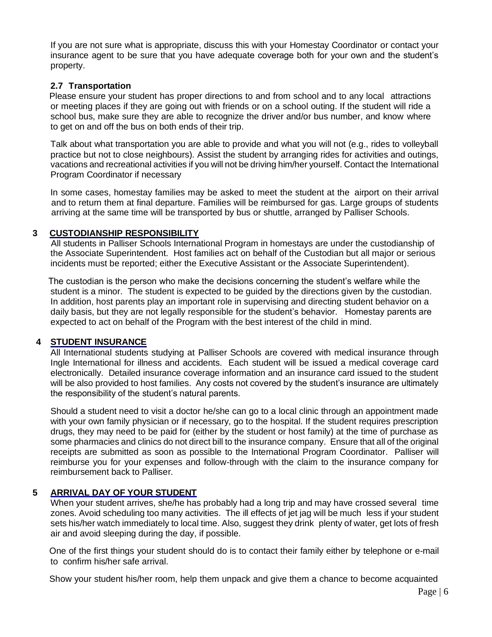If you are not sure what is appropriate, discuss this with your Homestay Coordinator or contact your insurance agent to be sure that you have adequate coverage both for your own and the student's property.

#### **2.7 Transportation**

Please ensure your student has proper directions to and from school and to any local attractions or meeting places if they are going out with friends or on a school outing. If the student will ride a school bus, make sure they are able to recognize the driver and/or bus number, and know where to get on and off the bus on both ends of their trip.

Talk about what transportation you are able to provide and what you will not (e.g., rides to volleyball practice but not to close neighbours). Assist the student by arranging rides for activities and outings, vacations and recreational activities if you will not be driving him/her yourself. Contact the International Program Coordinator if necessary

In some cases, homestay families may be asked to meet the student at the airport on their arrival and to return them at final departure. Families will be reimbursed for gas. Large groups of students arriving at the same time will be transported by bus or shuttle, arranged by Palliser Schools.

#### **3 CUSTODIANSHIP RESPONSIBILITY**

All students in Palliser Schools International Program in homestays are under the custodianship of the Associate Superintendent. Host families act on behalf of the Custodian but all major or serious incidents must be reported; either the Executive Assistant or the Associate Superintendent).

The custodian is the person who make the decisions concerning the student's welfare while the student is a minor. The student is expected to be guided by the directions given by the custodian. In addition, host parents play an important role in supervising and directing student behavior on a daily basis, but they are not legally responsible for the student's behavior. Homestay parents are expected to act on behalf of the Program with the best interest of the child in mind.

#### **4 STUDENT INSURANCE**

All International students studying at Palliser Schools are covered with medical insurance through Ingle International for illness and accidents. Each student will be issued a medical coverage card electronically. Detailed insurance coverage information and an insurance card issued to the student will be also provided to host families. Any costs not covered by the student's insurance are ultimately the responsibility of the student's natural parents.

Should a student need to visit a doctor he/she can go to a local clinic through an appointment made with your own family physician or if necessary, go to the hospital. If the student requires prescription drugs, they may need to be paid for (either by the student or host family) at the time of purchase as some pharmacies and clinics do not direct bill to the insurance company. Ensure that all of the original receipts are submitted as soon as possible to the International Program Coordinator. Palliser will reimburse you for your expenses and follow-through with the claim to the insurance company for reimbursement back to Palliser.

#### **5 ARRIVAL DAY OF YOUR STUDENT**

When your student arrives, she/he has probably had a long trip and may have crossed several time zones. Avoid scheduling too many activities. The ill effects of jet jag will be much less if your student sets his/her watch immediately to local time. Also, suggest they drink plenty of water, get lots of fresh air and avoid sleeping during the day, if possible.

One of the first things your student should do is to contact their family either by telephone or e-mail to confirm his/her safe arrival.

Show your student his/her room, help them unpack and give them a chance to become acquainted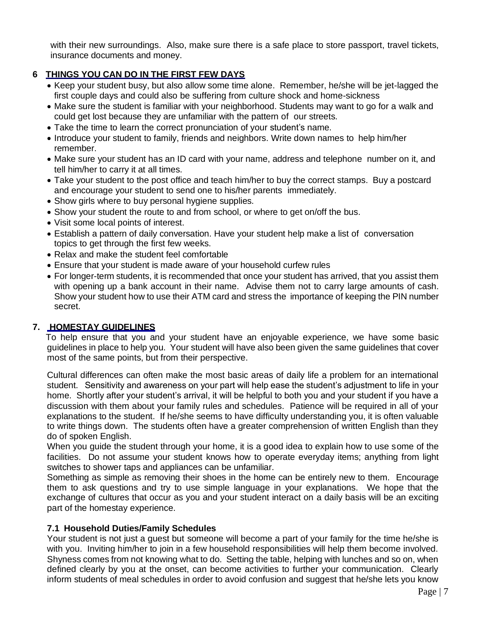with their new surroundings. Also, make sure there is a safe place to store passport, travel tickets, insurance documents and money.

#### **6 THINGS YOU CAN DO IN THE FIRST FEW DAYS**

- Keep your student busy, but also allow some time alone. Remember, he/she will be jet-lagged the first couple days and could also be suffering from culture shock and home-sickness
- Make sure the student is familiar with your neighborhood. Students may want to go for a walk and could get lost because they are unfamiliar with the pattern of our streets.
- Take the time to learn the correct pronunciation of your student's name.
- Introduce your student to family, friends and neighbors. Write down names to help him/her remember.
- Make sure your student has an ID card with your name, address and telephone number on it, and tell him/her to carry it at all times.
- Take your student to the post office and teach him/her to buy the correct stamps. Buy a postcard and encourage your student to send one to his/her parents immediately.
- Show girls where to buy personal hygiene supplies.
- Show your student the route to and from school, or where to get on/off the bus.
- Visit some local points of interest.
- Establish a pattern of daily conversation. Have your student help make a list of conversation topics to get through the first few weeks.
- Relax and make the student feel comfortable
- Ensure that your student is made aware of your household curfew rules
- For longer-term students, it is recommended that once your student has arrived, that you assist them with opening up a bank account in their name. Advise them not to carry large amounts of cash. Show your student how to use their ATM card and stress the importance of keeping the PIN number secret.

#### **7. HOMESTAY GUIDELINES**

To help ensure that you and your student have an enjoyable experience, we have some basic guidelines in place to help you. Your student will have also been given the same guidelines that cover most of the same points, but from their perspective.

Cultural differences can often make the most basic areas of daily life a problem for an international student. Sensitivity and awareness on your part will help ease the student's adjustment to life in your home. Shortly after your student's arrival, it will be helpful to both you and your student if you have a discussion with them about your family rules and schedules. Patience will be required in all of your explanations to the student. If he/she seems to have difficulty understanding you, it is often valuable to write things down. The students often have a greater comprehension of written English than they do of spoken English.

When you guide the student through your home, it is a good idea to explain how to use some of the facilities. Do not assume your student knows how to operate everyday items; anything from light switches to shower taps and appliances can be unfamiliar.

Something as simple as removing their shoes in the home can be entirely new to them. Encourage them to ask questions and try to use simple language in your explanations. We hope that the exchange of cultures that occur as you and your student interact on a daily basis will be an exciting part of the homestay experience.

#### **7.1 Household Duties/Family Schedules**

Your student is not just a guest but someone will become a part of your family for the time he/she is with you. Inviting him/her to join in a few household responsibilities will help them become involved. Shyness comes from not knowing what to do. Setting the table, helping with lunches and so on, when defined clearly by you at the onset, can become activities to further your communication. Clearly inform students of meal schedules in order to avoid confusion and suggest that he/she lets you know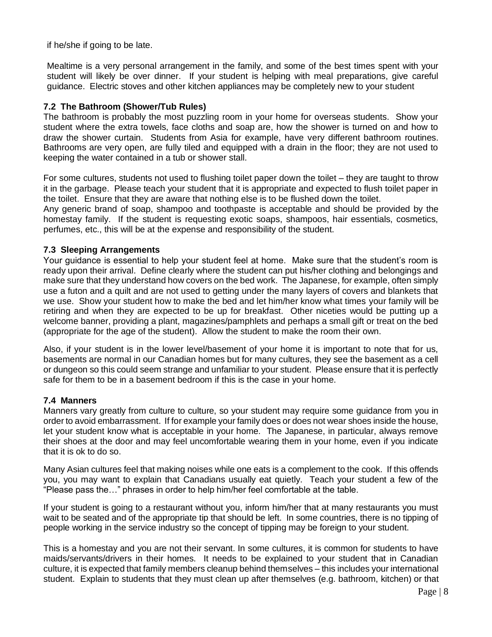if he/she if going to be late.

Mealtime is a very personal arrangement in the family, and some of the best times spent with your student will likely be over dinner. If your student is helping with meal preparations, give careful guidance. Electric stoves and other kitchen appliances may be completely new to your student

#### **7.2 The Bathroom (Shower/Tub Rules)**

The bathroom is probably the most puzzling room in your home for overseas students. Show your student where the extra towels, face cloths and soap are, how the shower is turned on and how to draw the shower curtain. Students from Asia for example, have very different bathroom routines. Bathrooms are very open, are fully tiled and equipped with a drain in the floor; they are not used to keeping the water contained in a tub or shower stall.

For some cultures, students not used to flushing toilet paper down the toilet – they are taught to throw it in the garbage. Please teach your student that it is appropriate and expected to flush toilet paper in the toilet. Ensure that they are aware that nothing else is to be flushed down the toilet.

Any generic brand of soap, shampoo and toothpaste is acceptable and should be provided by the homestay family. If the student is requesting exotic soaps, shampoos, hair essentials, cosmetics, perfumes, etc., this will be at the expense and responsibility of the student.

#### **7.3 Sleeping Arrangements**

Your guidance is essential to help your student feel at home. Make sure that the student's room is ready upon their arrival. Define clearly where the student can put his/her clothing and belongings and make sure that they understand how covers on the bed work. The Japanese, for example, often simply use a futon and a quilt and are not used to getting under the many layers of covers and blankets that we use. Show your student how to make the bed and let him/her know what times your family will be retiring and when they are expected to be up for breakfast. Other niceties would be putting up a welcome banner, providing a plant, magazines/pamphlets and perhaps a small gift or treat on the bed (appropriate for the age of the student). Allow the student to make the room their own.

Also, if your student is in the lower level/basement of your home it is important to note that for us, basements are normal in our Canadian homes but for many cultures, they see the basement as a cell or dungeon so this could seem strange and unfamiliar to your student. Please ensure that it is perfectly safe for them to be in a basement bedroom if this is the case in your home.

#### **7.4 Manners**

Manners vary greatly from culture to culture, so your student may require some guidance from you in order to avoid embarrassment. If for example your family does or does not wear shoes inside the house, let your student know what is acceptable in your home. The Japanese, in particular, always remove their shoes at the door and may feel uncomfortable wearing them in your home, even if you indicate that it is ok to do so.

Many Asian cultures feel that making noises while one eats is a complement to the cook. If this offends you, you may want to explain that Canadians usually eat quietly. Teach your student a few of the "Please pass the…" phrases in order to help him/her feel comfortable at the table.

If your student is going to a restaurant without you, inform him/her that at many restaurants you must wait to be seated and of the appropriate tip that should be left. In some countries, there is no tipping of people working in the service industry so the concept of tipping may be foreign to your student.

This is a homestay and you are not their servant. In some cultures, it is common for students to have maids/servants/drivers in their homes. It needs to be explained to your student that in Canadian culture, it is expected that family members cleanup behind themselves – this includes your international student. Explain to students that they must clean up after themselves (e.g. bathroom, kitchen) or that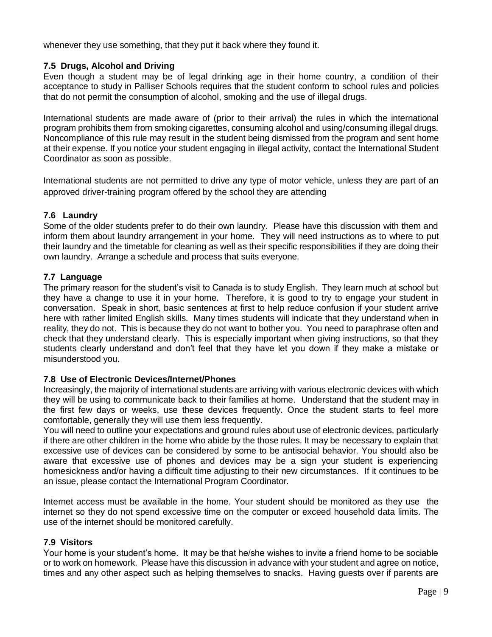whenever they use something, that they put it back where they found it.

#### **7.5 Drugs, Alcohol and Driving**

Even though a student may be of legal drinking age in their home country, a condition of their acceptance to study in Palliser Schools requires that the student conform to school rules and policies that do not permit the consumption of alcohol, smoking and the use of illegal drugs.

International students are made aware of (prior to their arrival) the rules in which the international program prohibits them from smoking cigarettes, consuming alcohol and using/consuming illegal drugs. Noncompliance of this rule may result in the student being dismissed from the program and sent home at their expense. If you notice your student engaging in illegal activity, contact the International Student Coordinator as soon as possible.

International students are not permitted to drive any type of motor vehicle, unless they are part of an approved driver-training program offered by the school they are attending

#### **7.6 Laundry**

Some of the older students prefer to do their own laundry. Please have this discussion with them and inform them about laundry arrangement in your home. They will need instructions as to where to put their laundry and the timetable for cleaning as well as their specific responsibilities if they are doing their own laundry. Arrange a schedule and process that suits everyone.

#### **7.7 Language**

The primary reason for the student's visit to Canada is to study English. They learn much at school but they have a change to use it in your home. Therefore, it is good to try to engage your student in conversation. Speak in short, basic sentences at first to help reduce confusion if your student arrive here with rather limited English skills. Many times students will indicate that they understand when in reality, they do not. This is because they do not want to bother you. You need to paraphrase often and check that they understand clearly. This is especially important when giving instructions, so that they students clearly understand and don't feel that they have let you down if they make a mistake or misunderstood you.

#### **7.8 Use of Electronic Devices/Internet/Phones**

Increasingly, the majority of international students are arriving with various electronic devices with which they will be using to communicate back to their families at home. Understand that the student may in the first few days or weeks, use these devices frequently. Once the student starts to feel more comfortable, generally they will use them less frequently.

You will need to outline your expectations and ground rules about use of electronic devices, particularly if there are other children in the home who abide by the those rules. It may be necessary to explain that excessive use of devices can be considered by some to be antisocial behavior. You should also be aware that excessive use of phones and devices may be a sign your student is experiencing homesickness and/or having a difficult time adjusting to their new circumstances. If it continues to be an issue, please contact the International Program Coordinator.

Internet access must be available in the home. Your student should be monitored as they use the internet so they do not spend excessive time on the computer or exceed household data limits. The use of the internet should be monitored carefully.

#### **7.9 Visitors**

Your home is your student's home. It may be that he/she wishes to invite a friend home to be sociable or to work on homework. Please have this discussion in advance with your student and agree on notice, times and any other aspect such as helping themselves to snacks. Having guests over if parents are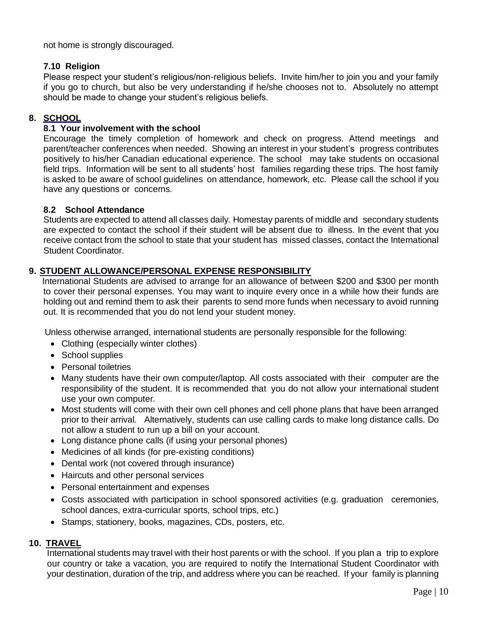not home is strongly discouraged.

#### **7.10 Religion**

Please respect your student's religious/non-religious beliefs. Invite him/her to join you and your family if you go to church, but also be very understanding if he/she chooses not to. Absolutely no attempt should be made to change your student's religious beliefs.

#### **8. SCHOOL**

#### **8.1 Your involvement with the school**

Encourage the timely completion of homework and check on progress. Attend meetings and parent/teacher conferences when needed. Showing an interest in your student's progress contributes positively to his/her Canadian educational experience. The school may take students on occasional field trips. Information will be sent to all students' host families regarding these trips. The host family is asked to be aware of school guidelines on attendance, homework, etc. Please call the school if you have any questions or concerns.

#### **8.2 School Attendance**

Students are expected to attend all classes daily. Homestay parents of middle and secondary students are expected to contact the school if their student will be absent due to illness. In the event that you receive contact from the school to state that your student has missed classes, contact the International Student Coordinator.

#### **9. STUDENT ALLOWANCE/PERSONAL EXPENSE RESPONSIBILITY**

International Students are advised to arrange for an allowance of between \$200 and \$300 per month to cover their personal expenses. You may want to inquire every once in a while how their funds are holding out and remind them to ask their parents to send more funds when necessary to avoid running out. It is recommended that you do not lend your student money.

Unless otherwise arranged, international students are personally responsible for the following:

- Clothing (especially winter clothes)
- School supplies
- Personal toiletries
- Many students have their own computer/laptop. All costs associated with their computer are the responsibility of the student. It is recommended that you do not allow your international student use your own computer.
- Most students will come with their own cell phones and cell phone plans that have been arranged prior to their arrival. Alternatively, students can use calling cards to make long distance calls. Do not allow a student to run up a bill on your account.
- Long distance phone calls (if using your personal phones)
- Medicines of all kinds (for pre-existing conditions)
- Dental work (not covered through insurance)
- Haircuts and other personal services
- Personal entertainment and expenses
- Costs associated with participation in school sponsored activities (e.g. graduation ceremonies, school dances, extra-curricular sports, school trips, etc.)
- Stamps, stationery, books, magazines, CDs, posters, etc.

#### **10. TRAVEL**

International students may travel with their host parents or with the school. If you plan a trip to explore our country or take a vacation, you are required to notify the International Student Coordinator with your destination, duration of the trip, and address where you can be reached. If your family is planning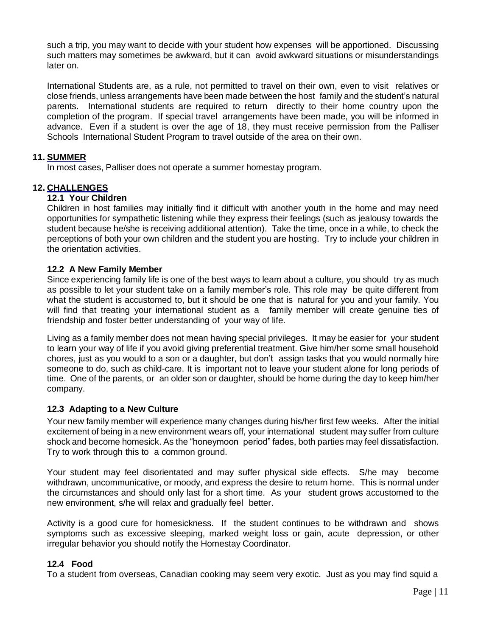such a trip, you may want to decide with your student how expenses will be apportioned. Discussing such matters may sometimes be awkward, but it can avoid awkward situations or misunderstandings later on.

International Students are, as a rule, not permitted to travel on their own, even to visit relatives or close friends, unless arrangements have been made between the host family and the student's natural parents. International students are required to return directly to their home country upon the completion of the program. If special travel arrangements have been made, you will be informed in advance. Even if a student is over the age of 18, they must receive permission from the Palliser Schools International Student Program to travel outside of the area on their own.

#### **11. SUMMER**

In most cases, Palliser does not operate a summer homestay program.

#### **12. CHALLENGES**

#### **12.1 You**r **Children**

Children in host families may initially find it difficult with another youth in the home and may need opportunities for sympathetic listening while they express their feelings (such as jealousy towards the student because he/she is receiving additional attention). Take the time, once in a while, to check the perceptions of both your own children and the student you are hosting. Try to include your children in the orientation activities.

#### **12.2 A New Family Member**

Since experiencing family life is one of the best ways to learn about a culture, you should try as much as possible to let your student take on a family member's role. This role may be quite different from what the student is accustomed to, but it should be one that is natural for you and your family. You will find that treating your international student as a family member will create genuine ties of friendship and foster better understanding of your way of life.

Living as a family member does not mean having special privileges. It may be easier for your student to learn your way of life if you avoid giving preferential treatment. Give him/her some small household chores, just as you would to a son or a daughter, but don't assign tasks that you would normally hire someone to do, such as child-care. It is important not to leave your student alone for long periods of time. One of the parents, or an older son or daughter, should be home during the day to keep him/her company.

#### **12.3 Adapting to a New Culture**

Your new family member will experience many changes during his/her first few weeks. After the initial excitement of being in a new environment wears off, your international student may suffer from culture shock and become homesick. As the "honeymoon period" fades, both parties may feel dissatisfaction. Try to work through this to a common ground.

Your student may feel disorientated and may suffer physical side effects. S/he may become withdrawn, uncommunicative, or moody, and express the desire to return home. This is normal under the circumstances and should only last for a short time. As your student grows accustomed to the new environment, s/he will relax and gradually feel better.

Activity is a good cure for homesickness. If the student continues to be withdrawn and shows symptoms such as excessive sleeping, marked weight loss or gain, acute depression, or other irregular behavior you should notify the Homestay Coordinator.

#### **12.4 Food**

To a student from overseas, Canadian cooking may seem very exotic. Just as you may find squid a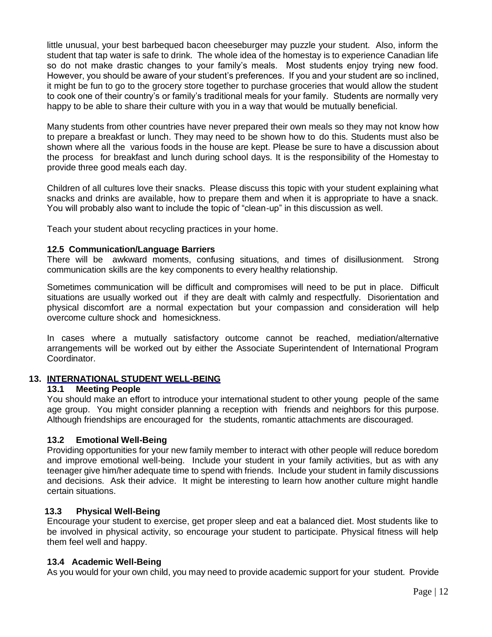little unusual, your best barbequed bacon cheeseburger may puzzle your student. Also, inform the student that tap water is safe to drink. The whole idea of the homestay is to experience Canadian life so do not make drastic changes to your family's meals. Most students enjoy trying new food. However, you should be aware of your student's preferences. If you and your student are so inclined, it might be fun to go to the grocery store together to purchase groceries that would allow the student to cook one of their country's or family's traditional meals for your family. Students are normally very happy to be able to share their culture with you in a way that would be mutually beneficial.

Many students from other countries have never prepared their own meals so they may not know how to prepare a breakfast or lunch. They may need to be shown how to do this. Students must also be shown where all the various foods in the house are kept. Please be sure to have a discussion about the process for breakfast and lunch during school days. It is the responsibility of the Homestay to provide three good meals each day.

Children of all cultures love their snacks. Please discuss this topic with your student explaining what snacks and drinks are available, how to prepare them and when it is appropriate to have a snack. You will probably also want to include the topic of "clean-up" in this discussion as well.

Teach your student about recycling practices in your home.

#### **12.5 Communication/Language Barriers**

There will be awkward moments, confusing situations, and times of disillusionment. Strong communication skills are the key components to every healthy relationship.

Sometimes communication will be difficult and compromises will need to be put in place. Difficult situations are usually worked out if they are dealt with calmly and respectfully. Disorientation and physical discomfort are a normal expectation but your compassion and consideration will help overcome culture shock and homesickness.

In cases where a mutually satisfactory outcome cannot be reached, mediation/alternative arrangements will be worked out by either the Associate Superintendent of International Program Coordinator.

#### **13. INTERNATIONAL STUDENT WELL-BEING**

#### **13.1 Meeting People**

You should make an effort to introduce your international student to other young people of the same age group. You might consider planning a reception with friends and neighbors for this purpose. Although friendships are encouraged for the students, romantic attachments are discouraged.

#### **13.2 Emotional Well-Being**

Providing opportunities for your new family member to interact with other people will reduce boredom and improve emotional well-being. Include your student in your family activities, but as with any teenager give him/her adequate time to spend with friends. Include your student in family discussions and decisions. Ask their advice. It might be interesting to learn how another culture might handle certain situations.

#### **13.3 Physical Well-Being**

Encourage your student to exercise, get proper sleep and eat a balanced diet. Most students like to be involved in physical activity, so encourage your student to participate. Physical fitness will help them feel well and happy.

#### **13.4 Academic Well-Being**

As you would for your own child, you may need to provide academic support for your student. Provide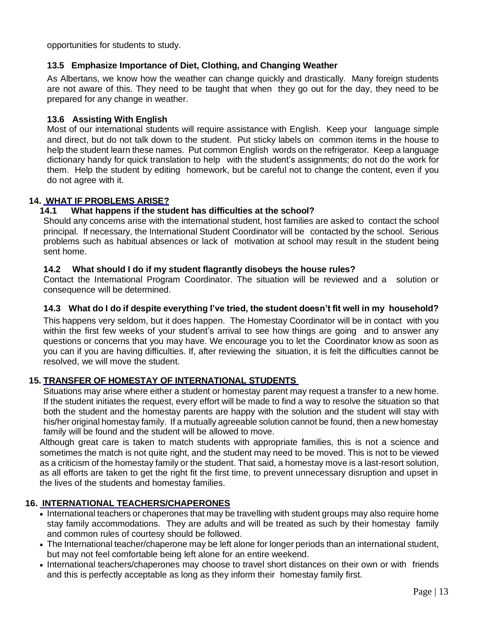opportunities for students to study.

#### **13.5 Emphasize Importance of Diet, Clothing, and Changing Weather**

As Albertans, we know how the weather can change quickly and drastically. Many foreign students are not aware of this. They need to be taught that when they go out for the day, they need to be prepared for any change in weather.

#### **13.6 Assisting With English**

Most of our international students will require assistance with English. Keep your language simple and direct, but do not talk down to the student. Put sticky labels on common items in the house to help the student learn these names. Put common English words on the refrigerator. Keep a language dictionary handy for quick translation to help with the student's assignments; do not do the work for them. Help the student by editing homework, but be careful not to change the content, even if you do not agree with it.

#### **14. WHAT IF PROBLEMS ARISE?**

#### **14.1 What happens if the student has difficulties at the school?**

Should any concerns arise with the international student, host families are asked to contact the school principal. If necessary, the International Student Coordinator will be contacted by the school. Serious problems such as habitual absences or lack of motivation at school may result in the student being sent home.

#### **14.2 What should I do if my student flagrantly disobeys the house rules?**

Contact the International Program Coordinator. The situation will be reviewed and a solution or consequence will be determined.

#### **14.3 What do I do if despite everything I've tried, the student doesn't fit well in my household?**

This happens very seldom, but it does happen. The Homestay Coordinator will be in contact with you within the first few weeks of your student's arrival to see how things are going and to answer any questions or concerns that you may have. We encourage you to let the Coordinator know as soon as you can if you are having difficulties. If, after reviewing the situation, it is felt the difficulties cannot be resolved, we will move the student.

#### **15. TRANSFER OF HOMESTAY OF INTERNATIONAL STUDENTS**

Situations may arise where either a student or homestay parent may request a transfer to a new home. If the student initiates the request, every effort will be made to find a way to resolve the situation so that both the student and the homestay parents are happy with the solution and the student will stay with his/her original homestay family. If a mutually agreeable solution cannot be found, then a new homestay family will be found and the student will be allowed to move.

Although great care is taken to match students with appropriate families, this is not a science and sometimes the match is not quite right, and the student may need to be moved. This is not to be viewed as a criticism of the homestay family or the student. That said, a homestay move is a last-resort solution, as all efforts are taken to get the right fit the first time, to prevent unnecessary disruption and upset in the lives of the students and homestay families.

#### **16. INTERNATIONAL TEACHERS/CHAPERONES**

- International teachers or chaperones that may be travelling with student groups may also require home stay family accommodations. They are adults and will be treated as such by their homestay family and common rules of courtesy should be followed.
- The International teacher/chaperone may be left alone for longer periods than an international student, but may not feel comfortable being left alone for an entire weekend.
- International teachers/chaperones may choose to travel short distances on their own or with friends and this is perfectly acceptable as long as they inform their homestay family first.